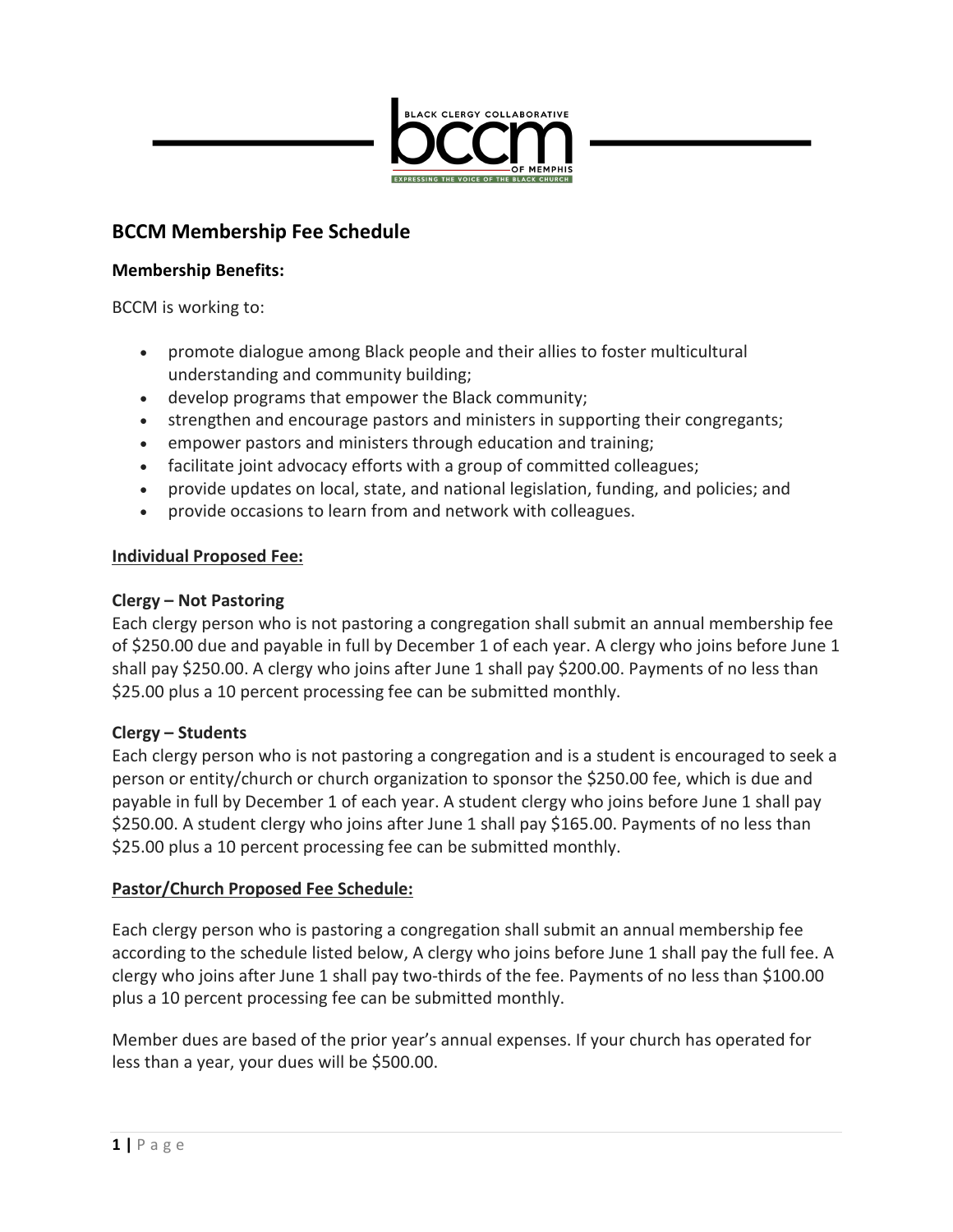

# **BCCM Membership Fee Schedule**

#### **Membership Benefits:**

BCCM is working to:

- promote dialogue among Black people and their allies to foster multicultural understanding and community building;
- develop programs that empower the Black community;
- strengthen and encourage pastors and ministers in supporting their congregants;
- empower pastors and ministers through education and training;
- facilitate joint advocacy efforts with a group of committed colleagues;
- provide updates on local, state, and national legislation, funding, and policies; and
- provide occasions to learn from and network with colleagues.

## **Individual Proposed Fee:**

## **Clergy – Not Pastoring**

Each clergy person who is not pastoring a congregation shall submit an annual membership fee of \$250.00 due and payable in full by December 1 of each year. A clergy who joins before June 1 shall pay \$250.00. A clergy who joins after June 1 shall pay \$200.00. Payments of no less than \$25.00 plus a 10 percent processing fee can be submitted monthly.

#### **Clergy – Students**

Each clergy person who is not pastoring a congregation and is a student is encouraged to seek a person or entity/church or church organization to sponsor the \$250.00 fee, which is due and payable in full by December 1 of each year. A student clergy who joins before June 1 shall pay \$250.00. A student clergy who joins after June 1 shall pay \$165.00. Payments of no less than \$25.00 plus a 10 percent processing fee can be submitted monthly.

## **Pastor/Church Proposed Fee Schedule:**

Each clergy person who is pastoring a congregation shall submit an annual membership fee according to the schedule listed below, A clergy who joins before June 1 shall pay the full fee. A clergy who joins after June 1 shall pay two-thirds of the fee. Payments of no less than \$100.00 plus a 10 percent processing fee can be submitted monthly.

Member dues are based of the prior year's annual expenses. If your church has operated for less than a year, your dues will be \$500.00.